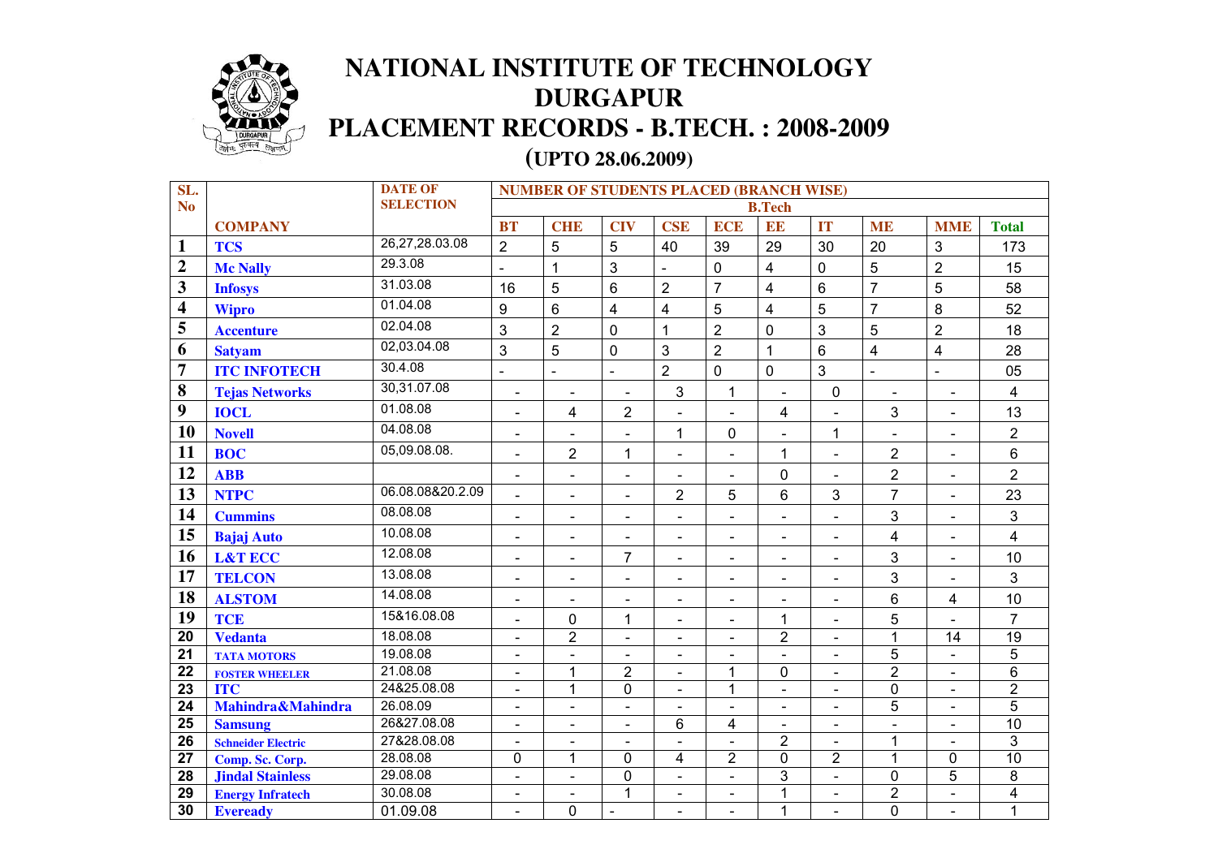

## **NATIONAL INSTITUTE OF TECHNOLOGY DURGAPUR PLACEMENT RECORDS - B.TECH. : 2008-2009**

## **(UPTO 28.06.2009)**

| SL.                     |                           | <b>DATE OF</b>   | <b>NUMBER OF STUDENTS PLACED (BRANCH WISE)</b> |                              |                          |                              |                          |                          |                              |                |                          |                 |
|-------------------------|---------------------------|------------------|------------------------------------------------|------------------------------|--------------------------|------------------------------|--------------------------|--------------------------|------------------------------|----------------|--------------------------|-----------------|
| N <sub>o</sub>          |                           | <b>SELECTION</b> | <b>B.Tech</b>                                  |                              |                          |                              |                          |                          |                              |                |                          |                 |
|                         | <b>COMPANY</b>            |                  | <b>BT</b>                                      | <b>CHE</b>                   | <b>CIV</b>               | <b>CSE</b>                   | <b>ECE</b>               | EE                       | IT                           | <b>ME</b>      | <b>MME</b>               | <b>Total</b>    |
| $\mathbf{1}$            | <b>TCS</b>                | 26,27,28.03.08   | $\overline{2}$                                 | $\overline{5}$               | 5                        | 40                           | 39                       | 29                       | 30                           | 20             | 3                        | 173             |
| $\overline{2}$          | <b>Mc Nally</b>           | 29.3.08          | $\blacksquare$                                 | $\mathbf{1}$                 | 3                        | $\blacksquare$               | $\mathbf 0$              | $\overline{\mathbf{4}}$  | $\overline{0}$               | 5              | $\overline{2}$           | 15              |
| $\overline{\mathbf{3}}$ | <b>Infosys</b>            | 31.03.08         | 16                                             | 5                            | 6                        | $\overline{2}$               | $\overline{7}$           | $\overline{\mathbf{4}}$  | $6\phantom{1}$               | $\overline{7}$ | 5                        | 58              |
| $\overline{\mathbf{4}}$ | <b>Wipro</b>              | 01.04.08         | 9                                              | $6\phantom{1}$               | $\overline{\mathbf{4}}$  | $\overline{4}$               | 5                        | $\overline{4}$           | 5                            | $\overline{7}$ | 8                        | 52              |
| 5                       | <b>Accenture</b>          | 02.04.08         | 3                                              | $\overline{2}$               | 0                        | $\mathbf{1}$                 | $\overline{2}$           | 0                        | 3                            | 5              | $\overline{2}$           | 18              |
| 6                       | <b>Satyam</b>             | 02,03.04.08      | 3                                              | 5                            | 0                        | $\mathbf{3}$                 | $\overline{2}$           | $\mathbf{1}$             | $6\phantom{1}$               | $\overline{4}$ | 4                        | 28              |
| $\overline{7}$          | <b>ITC INFOTECH</b>       | 30.4.08          | $\blacksquare$                                 | $\blacksquare$               | $\blacksquare$           | $\overline{2}$               | $\overline{0}$           | $\mathbf 0$              | 3                            | $\blacksquare$ | $\blacksquare$           | 05              |
| 8                       | <b>Tejas Networks</b>     | 30,31.07.08      | $\blacksquare$                                 | $\blacksquare$               | $\blacksquare$           | 3                            | 1                        | $\blacksquare$           | $\mathbf 0$                  | $\blacksquare$ | $\overline{\phantom{a}}$ | $\overline{4}$  |
| 9                       | <b>IOCL</b>               | 01.08.08         | $\blacksquare$                                 | 4                            | $\overline{2}$           | $\blacksquare$               | $\blacksquare$           | $\overline{\mathbf{4}}$  | $\blacksquare$               | $\mathbf{3}$   | $\blacksquare$           | 13              |
| 10                      | <b>Novell</b>             | 04.08.08         | $\overline{\phantom{a}}$                       | $\blacksquare$               | $\overline{\phantom{a}}$ | 1                            | 0                        | $\overline{\phantom{a}}$ | 1                            | $\blacksquare$ | $\blacksquare$           | $\overline{2}$  |
| 11                      | <b>BOC</b>                | 05,09.08.08.     | $\overline{\phantom{a}}$                       | $\overline{2}$               | $\mathbf{1}$             | $\overline{\phantom{a}}$     | $\overline{\phantom{a}}$ | $\mathbf{1}$             | $\overline{\phantom{a}}$     | $\overline{2}$ | $\overline{\phantom{a}}$ | $6\phantom{1}$  |
| 12                      | <b>ABB</b>                |                  |                                                | $\qquad \qquad \blacksquare$ | $\blacksquare$           | $\overline{\phantom{a}}$     | $\overline{\phantom{a}}$ | $\mathbf 0$              | L.                           | $\overline{2}$ | $\blacksquare$           | $\overline{2}$  |
| 13                      | <b>NTPC</b>               | 06.08.08&20.2.09 | $\blacksquare$                                 | $\blacksquare$               | $\overline{\phantom{a}}$ | $\overline{2}$               | 5                        | 6                        | 3                            | $\overline{7}$ | $\blacksquare$           | 23              |
| 14                      | <b>Cummins</b>            | 08.08.08         | $\blacksquare$                                 | $\blacksquare$               | $\overline{\phantom{a}}$ | $\blacksquare$               | $\blacksquare$           | $\blacksquare$           | $\blacksquare$               | 3              | $\blacksquare$           | 3               |
| 15                      | <b>Bajaj Auto</b>         | 10.08.08         | $\blacksquare$                                 | $\blacksquare$               | $\sim$                   | $\overline{\phantom{a}}$     | $\blacksquare$           | $\blacksquare$           | $\overline{\phantom{a}}$     | 4              | $\blacksquare$           | $\overline{4}$  |
| 16                      | <b>L&amp;T ECC</b>        | 12.08.08         | $\blacksquare$                                 | $\blacksquare$               | $\overline{7}$           | $\overline{\phantom{a}}$     | $\blacksquare$           | $\blacksquare$           | $\blacksquare$               | $\mathbf{3}$   | $\blacksquare$           | 10              |
| 17                      | <b>TELCON</b>             | 13.08.08         | $\overline{\phantom{a}}$                       | $\overline{\phantom{a}}$     | $\blacksquare$           | $\overline{\phantom{a}}$     | $\blacksquare$           | $\overline{\phantom{a}}$ | $\overline{\phantom{a}}$     | 3              | $\blacksquare$           | 3               |
| 18                      | <b>ALSTOM</b>             | 14.08.08         | $\overline{\phantom{a}}$                       | $\overline{\phantom{a}}$     | $\overline{\phantom{a}}$ | $\overline{\phantom{a}}$     | $\overline{\phantom{0}}$ | $\overline{\phantom{a}}$ | Ξ.                           | 6              | 4                        | 10              |
| 19                      | <b>TCE</b>                | 15&16.08.08      |                                                | $\mathbf 0$                  | $\mathbf{1}$             | $\blacksquare$               | $\blacksquare$           | $\mathbf{1}$             |                              | 5              |                          | $\overline{7}$  |
| 20                      | <b>Vedanta</b>            | 18.08.08         |                                                | $\overline{2}$               | $\blacksquare$           | $\blacksquare$               | ÷,                       | $\overline{2}$           |                              | $\mathbf{1}$   | 14                       | $\overline{19}$ |
| 21                      | <b>TATA MOTORS</b>        | 19.08.08         | $\overline{\phantom{a}}$                       | $\overline{\phantom{a}}$     | $\overline{\phantom{a}}$ | $\qquad \qquad \blacksquare$ | $\overline{\phantom{a}}$ | $\blacksquare$           |                              | $\overline{5}$ |                          | $\overline{5}$  |
| 22                      | <b>FOSTER WHEELER</b>     | 21.08.08         | $\overline{\phantom{a}}$                       | $\mathbf{1}$                 | $\overline{2}$           | $\qquad \qquad \blacksquare$ | 1                        | 0                        | $\overline{\phantom{a}}$     | $\overline{2}$ | $\blacksquare$           | $\overline{6}$  |
| 23                      | <b>ITC</b>                | 24&25.08.08      |                                                | $\mathbf{1}$                 | 0                        | $\overline{\phantom{0}}$     | 1                        | $\blacksquare$           | $\qquad \qquad \blacksquare$ | 0              | $\blacksquare$           | $\overline{2}$  |
| 24                      | Mahindra&Mahindra         | 26.08.09         | $\overline{\phantom{a}}$                       | $\overline{\phantom{a}}$     | $\overline{\phantom{a}}$ | $\overline{\phantom{a}}$     | $\blacksquare$           | $\overline{\phantom{a}}$ | $\qquad \qquad \blacksquare$ | $\overline{5}$ | $\blacksquare$           | $\overline{5}$  |
| 25                      | <b>Samsung</b>            | 26&27.08.08      | $\overline{\phantom{a}}$                       | $\blacksquare$               | $\blacksquare$           | $6\phantom{1}$               | 4                        | $\blacksquare$           | $\blacksquare$               | $\blacksquare$ | $\blacksquare$           | 10              |
| 26                      | <b>Schneider Electric</b> | 27&28.08.08      | $\blacksquare$                                 | $\blacksquare$               | $\overline{\phantom{a}}$ | $\blacksquare$               | $\blacksquare$           | $\overline{2}$           | $\blacksquare$               | 1              | $\blacksquare$           | 3               |
| $\overline{27}$         | Comp. Sc. Corp.           | 28.08.08         | 0                                              | 1                            | 0                        | 4                            | $\overline{2}$           | 0                        | $\overline{2}$               | 1              | 0                        | $\overline{10}$ |
| 28                      | <b>Jindal Stainless</b>   | 29.08.08         | $\blacksquare$                                 | $\blacksquare$               | 0                        | $\blacksquare$               | $\blacksquare$           | 3                        | $\blacksquare$               | 0              | 5                        | 8               |
| 29                      | <b>Energy Infratech</b>   | 30.08.08         | $\blacksquare$                                 | $\blacksquare$               | $\mathbf{1}$             | $\overline{\phantom{a}}$     | $\blacksquare$           | 1                        | $\blacksquare$               | $\overline{2}$ | $\blacksquare$           | $\overline{4}$  |
| 30                      | <b>Eveready</b>           | 01.09.08         | $\blacksquare$                                 | 0                            | $\overline{a}$           | $\blacksquare$               | $\blacksquare$           | 1                        | $\blacksquare$               | 0              | $\blacksquare$           | $\mathbf{1}$    |